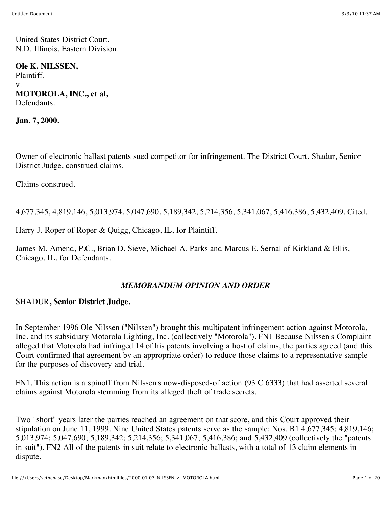United States District Court, N.D. Illinois, Eastern Division.

**Ole K. NILSSEN,** Plaintiff. v. **MOTOROLA, INC., et al,** Defendants.

**Jan. 7, 2000.**

Owner of electronic ballast patents sued competitor for infringement. The District Court, Shadur, Senior District Judge, construed claims.

Claims construed.

4,677,345, 4,819,146, 5,013,974, 5,047,690, 5,189,342, 5,214,356, 5,341,067, 5,416,386, 5,432,409. Cited.

Harry J. Roper of Roper & Quigg, Chicago, IL, for Plaintiff.

James M. Amend, P.C., Brian D. Sieve, Michael A. Parks and Marcus E. Sernal of Kirkland & Ellis, Chicago, IL, for Defendants.

#### *MEMORANDUM OPINION AND ORDER*

#### SHADUR**, Senior District Judge.**

In September 1996 Ole Nilssen ("Nilssen") brought this multipatent infringement action against Motorola, Inc. and its subsidiary Motorola Lighting, Inc. (collectively "Motorola"). FN1 Because Nilssen's Complaint alleged that Motorola had infringed 14 of his patents involving a host of claims, the parties agreed (and this Court confirmed that agreement by an appropriate order) to reduce those claims to a representative sample for the purposes of discovery and trial.

FN1. This action is a spinoff from Nilssen's now-disposed-of action (93 C 6333) that had asserted several claims against Motorola stemming from its alleged theft of trade secrets.

Two "short" years later the parties reached an agreement on that score, and this Court approved their stipulation on June 11, 1999. Nine United States patents serve as the sample: Nos. B1 4,677,345; 4,819,146; 5,013,974; 5,047,690; 5,189,342; 5,214,356; 5,341,067; 5,416,386; and 5,432,409 (collectively the "patents in suit"). FN2 All of the patents in suit relate to electronic ballasts, with a total of 13 claim elements in dispute.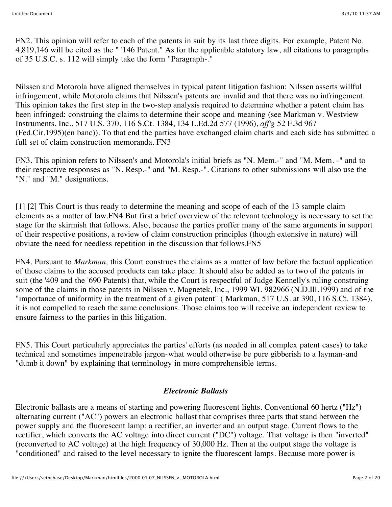FN2. This opinion will refer to each of the patents in suit by its last three digits. For example, Patent No. 4,819,146 will be cited as the " '146 Patent." As for the applicable statutory law, all citations to paragraphs of 35 U.S.C. s. 112 will simply take the form "Paragraph-."

Nilssen and Motorola have aligned themselves in typical patent litigation fashion: Nilssen asserts willful infringement, while Motorola claims that Nilssen's patents are invalid and that there was no infringement. This opinion takes the first step in the two-step analysis required to determine whether a patent claim has been infringed: construing the claims to determine their scope and meaning (see Markman v. Westview Instruments, Inc., 517 U.S. 370, 116 S.Ct. 1384, 134 L.Ed.2d 577 (1996), *aff'g* 52 F.3d 967 (Fed.Cir.1995)(en banc)). To that end the parties have exchanged claim charts and each side has submitted a full set of claim construction memoranda. FN3

FN3. This opinion refers to Nilssen's and Motorola's initial briefs as "N. Mem.-" and "M. Mem. -" and to their respective responses as "N. Resp.-" and "M. Resp.-". Citations to other submissions will also use the "N." and "M." designations.

[1] [2] This Court is thus ready to determine the meaning and scope of each of the 13 sample claim elements as a matter of law.FN4 But first a brief overview of the relevant technology is necessary to set the stage for the skirmish that follows. Also, because the parties proffer many of the same arguments in support of their respective positions, a review of claim construction principles (though extensive in nature) will obviate the need for needless repetition in the discussion that follows.FN5

FN4. Pursuant to *Markman,* this Court construes the claims as a matter of law before the factual application of those claims to the accused products can take place. It should also be added as to two of the patents in suit (the '409 and the '690 Patents) that, while the Court is respectful of Judge Kennelly's ruling construing some of the claims in those patents in Nilssen v. Magnetek, Inc., 1999 WL 982966 (N.D.Ill.1999) and of the "importance of uniformity in the treatment of a given patent" ( Markman, 517 U.S. at 390, 116 S.Ct. 1384), it is not compelled to reach the same conclusions. Those claims too will receive an independent review to ensure fairness to the parties in this litigation.

FN5. This Court particularly appreciates the parties' efforts (as needed in all complex patent cases) to take technical and sometimes impenetrable jargon-what would otherwise be pure gibberish to a layman-and "dumb it down" by explaining that terminology in more comprehensible terms.

#### *Electronic Ballasts*

Electronic ballasts are a means of starting and powering fluorescent lights. Conventional 60 hertz ("Hz") alternating current ("AC") powers an electronic ballast that comprises three parts that stand between the power supply and the fluorescent lamp: a rectifier, an inverter and an output stage. Current flows to the rectifier, which converts the AC voltage into direct current ("DC") voltage. That voltage is then "inverted" (reconverted to AC voltage) at the high frequency of 30,000 Hz. Then at the output stage the voltage is "conditioned" and raised to the level necessary to ignite the fluorescent lamps. Because more power is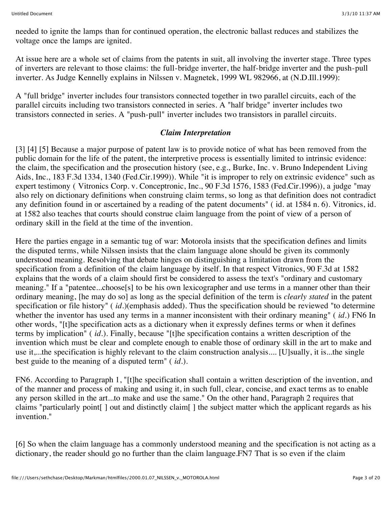needed to ignite the lamps than for continued operation, the electronic ballast reduces and stabilizes the voltage once the lamps are ignited.

At issue here are a whole set of claims from the patents in suit, all involving the inverter stage. Three types of inverters are relevant to those claims: the full-bridge inverter, the half-bridge inverter and the push-pull inverter. As Judge Kennelly explains in Nilssen v. Magnetek, 1999 WL 982966, at (N.D.Ill.1999):

A "full bridge" inverter includes four transistors connected together in two parallel circuits, each of the parallel circuits including two transistors connected in series. A "half bridge" inverter includes two transistors connected in series. A "push-pull" inverter includes two transistors in parallel circuits.

#### *Claim Interpretation*

[3] [4] [5] Because a major purpose of patent law is to provide notice of what has been removed from the public domain for the life of the patent, the interpretive process is essentially limited to intrinsic evidence: the claim, the specification and the prosecution history (see, e.g., Burke, Inc. v. Bruno Independent Living Aids, Inc., 183 F.3d 1334, 1340 (Fed.Cir.1999)). While "it is improper to rely on extrinsic evidence" such as expert testimony ( Vitronics Corp. v. Conceptronic, Inc., 90 F.3d 1576, 1583 (Fed.Cir.1996)), a judge "may also rely on dictionary definitions when construing claim terms, so long as that definition does not contradict any definition found in or ascertained by a reading of the patent documents" ( id. at 1584 n. 6). Vitronics, id. at 1582 also teaches that courts should construe claim language from the point of view of a person of ordinary skill in the field at the time of the invention.

Here the parties engage in a semantic tug of war: Motorola insists that the specification defines and limits the disputed terms, while Nilssen insists that the claim language alone should be given its commonly understood meaning. Resolving that debate hinges on distinguishing a limitation drawn from the specification from a definition of the claim language by itself. In that respect Vitronics, 90 F.3d at 1582 explains that the words of a claim should first be considered to assess the text's "ordinary and customary meaning." If a "patentee...choose[s] to be his own lexicographer and use terms in a manner other than their ordinary meaning, [he may do so] as long as the special definition of the term is *clearly stated* in the patent specification or file history" (*id.*)(emphasis added). Thus the specification should be reviewed "to determine whether the inventor has used any terms in a manner inconsistent with their ordinary meaning" ( *id.*) FN6 In other words, "[t]he specification acts as a dictionary when it expressly defines terms or when it defines terms by implication" ( *id.*). Finally, because "[t]he specification contains a written description of the invention which must be clear and complete enough to enable those of ordinary skill in the art to make and use it,...the specification is highly relevant to the claim construction analysis.... [U]sually, it is...the single best guide to the meaning of a disputed term" ( *id.*).

FN6. According to Paragraph 1, "[t]he specification shall contain a written description of the invention, and of the manner and process of making and using it, in such full, clear, concise, and exact terms as to enable any person skilled in the art...to make and use the same." On the other hand, Paragraph 2 requires that claims "particularly point[ ] out and distinctly claim[ ] the subject matter which the applicant regards as his invention."

[6] So when the claim language has a commonly understood meaning and the specification is not acting as a dictionary, the reader should go no further than the claim language.FN7 That is so even if the claim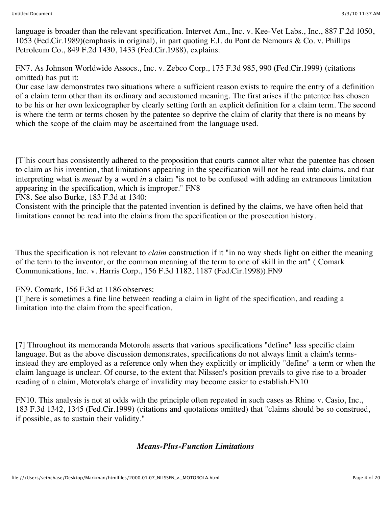language is broader than the relevant specification. Intervet Am., Inc. v. Kee-Vet Labs., Inc., 887 F.2d 1050, 1053 (Fed.Cir.1989)(emphasis in original), in part quoting E.I. du Pont de Nemours & Co. v. Phillips Petroleum Co., 849 F.2d 1430, 1433 (Fed.Cir.1988), explains:

FN7. As Johnson Worldwide Assocs., Inc. v. Zebco Corp., 175 F.3d 985, 990 (Fed.Cir.1999) (citations omitted) has put it:

Our case law demonstrates two situations where a sufficient reason exists to require the entry of a definition of a claim term other than its ordinary and accustomed meaning. The first arises if the patentee has chosen to be his or her own lexicographer by clearly setting forth an explicit definition for a claim term. The second is where the term or terms chosen by the patentee so deprive the claim of clarity that there is no means by which the scope of the claim may be ascertained from the language used.

[T]his court has consistently adhered to the proposition that courts cannot alter what the patentee has chosen to claim as his invention, that limitations appearing in the specification will not be read into claims, and that interpreting what is *meant* by a word *in* a claim "is not to be confused with adding an extraneous limitation appearing in the specification, which is improper." FN8

FN8. See also Burke, 183 F.3d at 1340:

Consistent with the principle that the patented invention is defined by the claims, we have often held that limitations cannot be read into the claims from the specification or the prosecution history.

Thus the specification is not relevant to *claim* construction if it "in no way sheds light on either the meaning of the term to the inventor, or the common meaning of the term to one of skill in the art" ( Comark Communications, Inc. v. Harris Corp., 156 F.3d 1182, 1187 (Fed.Cir.1998)).FN9

FN9. Comark, 156 F.3d at 1186 observes:

[T]here is sometimes a fine line between reading a claim in light of the specification, and reading a limitation into the claim from the specification.

[7] Throughout its memoranda Motorola asserts that various specifications "define" less specific claim language. But as the above discussion demonstrates, specifications do not always limit a claim's termsinstead they are employed as a reference only when they explicitly or implicitly "define" a term or when the claim language is unclear. Of course, to the extent that Nilssen's position prevails to give rise to a broader reading of a claim, Motorola's charge of invalidity may become easier to establish.FN10

FN10. This analysis is not at odds with the principle often repeated in such cases as Rhine v. Casio, Inc., 183 F.3d 1342, 1345 (Fed.Cir.1999) (citations and quotations omitted) that "claims should be so construed, if possible, as to sustain their validity."

# *Means-Plus-Function Limitations*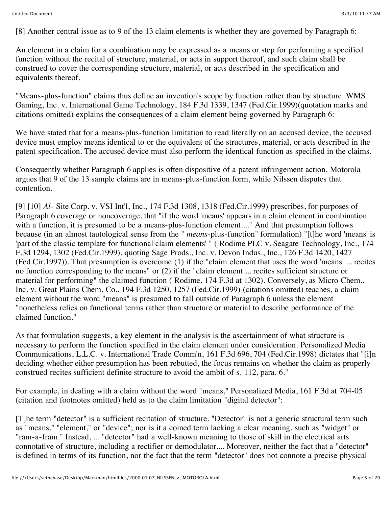[8] Another central issue as to 9 of the 13 claim elements is whether they are governed by Paragraph 6:

An element in a claim for a combination may be expressed as a means or step for performing a specified function without the recital of structure, material, or acts in support thereof, and such claim shall be construed to cover the corresponding structure, material, or acts described in the specification and equivalents thereof.

"Means-plus-function" claims thus define an invention's scope by function rather than by structure. WMS Gaming, Inc. v. International Game Technology, 184 F.3d 1339, 1347 (Fed.Cir.1999)(quotation marks and citations omitted) explains the consequences of a claim element being governed by Paragraph 6:

We have stated that for a means-plus-function limitation to read literally on an accused device, the accused device must employ means identical to or the equivalent of the structures, material, or acts described in the patent specification. The accused device must also perform the identical function as specified in the claims.

Consequently whether Paragraph 6 applies is often dispositive of a patent infringement action. Motorola argues that 9 of the 13 sample claims are in means-plus-function form, while Nilssen disputes that contention.

[9] [10] *Al-* Site Corp. v. VSI Int'l, Inc., 174 F.3d 1308, 1318 (Fed.Cir.1999) prescribes, for purposes of Paragraph 6 coverage or noncoverage, that "if the word 'means' appears in a claim element in combination with a function, it is presumed to be a means-plus-function element...." And that presumption follows because (in an almost tautological sense from the " *means*-plus-function" formulation) "[t]he word 'means' is 'part of the classic template for functional claim elements' " ( Rodime PLC v. Seagate Technology, Inc., 174 F.3d 1294, 1302 (Fed.Cir.1999), quoting Sage Prods., Inc. v. Devon Indus., Inc., 126 F.3d 1420, 1427 (Fed.Cir.1997)). That presumption is overcome (1) if the "claim element that uses the word 'means' ... recites no function corresponding to the means" or (2) if the "claim element ... recites sufficient structure or material for performing" the claimed function ( Rodime, 174 F.3d at 1302). Conversely, as Micro Chem., Inc. v. Great Plains Chem. Co., 194 F.3d 1250, 1257 (Fed.Cir.1999) (citations omitted) teaches, a claim element without the word "means" is presumed to fall outside of Paragraph 6 unless the element "nonetheless relies on functional terms rather than structure or material to describe performance of the claimed function."

As that formulation suggests, a key element in the analysis is the ascertainment of what structure is necessary to perform the function specified in the claim element under consideration. Personalized Media Communications, L.L.C. v. International Trade Comm'n, 161 F.3d 696, 704 (Fed.Cir.1998) dictates that "[i]n deciding whether either presumption has been rebutted, the focus remains on whether the claim as properly construed recites sufficient definite structure to avoid the ambit of s. 112, para. 6."

For example, in dealing with a claim without the word "means," Personalized Media, 161 F.3d at 704-05 (citation and footnotes omitted) held as to the claim limitation "digital detector":

[T]he term "detector" is a sufficient recitation of structure. "Detector" is not a generic structural term such as "means," "element," or "device"; nor is it a coined term lacking a clear meaning, such as "widget" or "ram-a-fram." Instead, ... "detector" had a well-known meaning to those of skill in the electrical arts connotative of structure, including a rectifier or demodulator.... Moreover, neither the fact that a "detector" is defined in terms of its function, nor the fact that the term "detector" does not connote a precise physical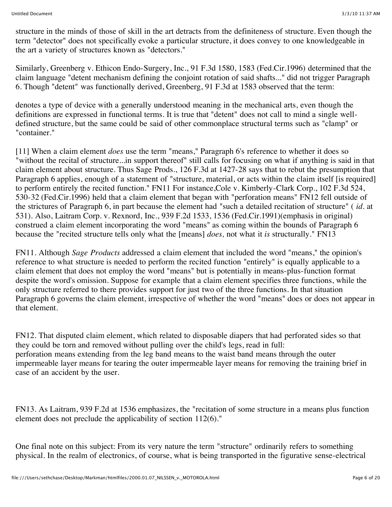structure in the minds of those of skill in the art detracts from the definiteness of structure. Even though the term "detector" does not specifically evoke a particular structure, it does convey to one knowledgeable in the art a variety of structures known as "detectors."

Similarly, Greenberg v. Ethicon Endo-Surgery, Inc., 91 F.3d 1580, 1583 (Fed.Cir.1996) determined that the claim language "detent mechanism defining the conjoint rotation of said shafts..." did not trigger Paragraph 6. Though "detent" was functionally derived, Greenberg, 91 F.3d at 1583 observed that the term:

denotes a type of device with a generally understood meaning in the mechanical arts, even though the definitions are expressed in functional terms. It is true that "detent" does not call to mind a single welldefined structure, but the same could be said of other commonplace structural terms such as "clamp" or "container."

[11] When a claim element *does* use the term "means," Paragraph 6's reference to whether it does so "without the recital of structure...in support thereof" still calls for focusing on what if anything is said in that claim element about structure. Thus Sage Prods., 126 F.3d at 1427-28 says that to rebut the presumption that Paragraph 6 applies, enough of a statement of "structure, material, or acts within the claim itself [is required] to perform entirely the recited function." FN11 For instance,Cole v. Kimberly-Clark Corp., 102 F.3d 524, 530-32 (Fed.Cir.1996) held that a claim element that began with "perforation means" FN12 fell outside of the strictures of Paragraph 6, in part because the element had "such a detailed recitation of structure" ( *id.* at 531). Also, Laitram Corp. v. Rexnord, Inc., 939 F.2d 1533, 1536 (Fed.Cir.1991)(emphasis in original) construed a claim element incorporating the word "means" as coming within the bounds of Paragraph 6 because the "recited structure tells only what the [means] *does,* not what it *is* structurally." FN13

FN11. Although *Sage Products* addressed a claim element that included the word "means," the opinion's reference to what structure is needed to perform the recited function "entirely" is equally applicable to a claim element that does not employ the word "means" but is potentially in means-plus-function format despite the word's omission. Suppose for example that a claim element specifies three functions, while the only structure referred to there provides support for just two of the three functions. In that situation Paragraph 6 governs the claim element, irrespective of whether the word "means" does or does not appear in that element.

FN12. That disputed claim element, which related to disposable diapers that had perforated sides so that they could be torn and removed without pulling over the child's legs, read in full: perforation means extending from the leg band means to the waist band means through the outer impermeable layer means for tearing the outer impermeable layer means for removing the training brief in case of an accident by the user.

FN13. As Laitram, 939 F.2d at 1536 emphasizes, the "recitation of some structure in a means plus function element does not preclude the applicability of section 112(6)."

One final note on this subject: From its very nature the term "structure" ordinarily refers to something physical. In the realm of electronics, of course, what is being transported in the figurative sense-electrical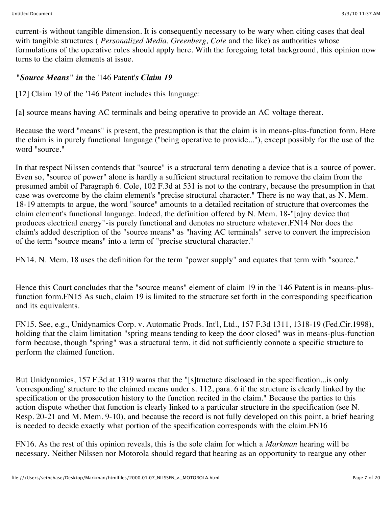current-is without tangible dimension. It is consequently necessary to be wary when citing cases that deal with tangible structures ( *Personalized Media, Greenberg, Cole* and the like) as authorities whose formulations of the operative rules should apply here. With the foregoing total background, this opinion now turns to the claim elements at issue.

# *"Source Means" in* the '146 Patent'*s Claim 19*

[12] Claim 19 of the '146 Patent includes this language:

[a] source means having AC terminals and being operative to provide an AC voltage thereat.

Because the word "means" is present, the presumption is that the claim is in means-plus-function form. Here the claim is in purely functional language ("being operative to provide..."), except possibly for the use of the word "source."

In that respect Nilssen contends that "source" is a structural term denoting a device that is a source of power. Even so, "source of power" alone is hardly a sufficient structural recitation to remove the claim from the presumed ambit of Paragraph 6. Cole, 102 F.3d at 531 is not to the contrary, because the presumption in that case was overcome by the claim element's "precise structural character." There is no way that, as N. Mem. 18-19 attempts to argue, the word "source" amounts to a detailed recitation of structure that overcomes the claim element's functional language. Indeed, the definition offered by N. Mem. 18-"[a]ny device that produces electrical energy"-is purely functional and denotes no structure whatever.FN14 Nor does the claim's added description of the "source means" as "having AC terminals" serve to convert the imprecision of the term "source means" into a term of "precise structural character."

FN14. N. Mem. 18 uses the definition for the term "power supply" and equates that term with "source."

Hence this Court concludes that the "source means" element of claim 19 in the '146 Patent is in means-plusfunction form.FN15 As such, claim 19 is limited to the structure set forth in the corresponding specification and its equivalents.

FN15. See, e.g., Unidynamics Corp. v. Automatic Prods. Int'l, Ltd., 157 F.3d 1311, 1318-19 (Fed.Cir.1998), holding that the claim limitation "spring means tending to keep the door closed" was in means-plus-function form because, though "spring" was a structural term, it did not sufficiently connote a specific structure to perform the claimed function.

But Unidynamics, 157 F.3d at 1319 warns that the "[s]tructure disclosed in the specification...is only 'corresponding' structure to the claimed means under s. 112, para. 6 if the structure is clearly linked by the specification or the prosecution history to the function recited in the claim." Because the parties to this action dispute whether that function is clearly linked to a particular structure in the specification (see N. Resp. 20-21 and M. Mem. 9-10), and because the record is not fully developed on this point, a brief hearing is needed to decide exactly what portion of the specification corresponds with the claim.FN16

FN16. As the rest of this opinion reveals, this is the sole claim for which a *Markman* hearing will be necessary. Neither Nilssen nor Motorola should regard that hearing as an opportunity to reargue any other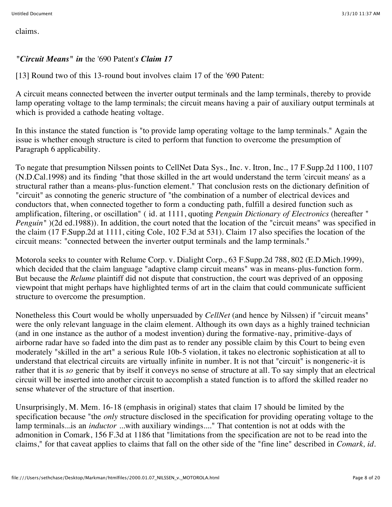claims.

# *"Circuit Means" in* the '690 Patent'*s Claim 17*

[13] Round two of this 13-round bout involves claim 17 of the '690 Patent:

A circuit means connected between the inverter output terminals and the lamp terminals, thereby to provide lamp operating voltage to the lamp terminals; the circuit means having a pair of auxiliary output terminals at which is provided a cathode heating voltage.

In this instance the stated function is "to provide lamp operating voltage to the lamp terminals." Again the issue is whether enough structure is cited to perform that function to overcome the presumption of Paragraph 6 applicability.

To negate that presumption Nilssen points to CellNet Data Sys., Inc. v. Itron, Inc., 17 F.Supp.2d 1100, 1107 (N.D.Cal.1998) and its finding "that those skilled in the art would understand the term 'circuit means' as a structural rather than a means-plus-function element." That conclusion rests on the dictionary definition of "circuit" as connoting the generic structure of "the combination of a number of electrical devices and conductors that, when connected together to form a conducting path, fulfill a desired function such as amplification, filtering, or oscillation" ( id. at 1111, quoting *Penguin Dictionary of Electronics* (hereafter " *Penguin*" (2d ed.1988)). In addition, the court noted that the location of the "circuit means" was specified in the claim (17 F.Supp.2d at 1111, citing Cole, 102 F.3d at 531). Claim 17 also specifies the location of the circuit means: "connected between the inverter output terminals and the lamp terminals."

Motorola seeks to counter with Relume Corp. v. Dialight Corp., 63 F.Supp.2d 788, 802 (E.D.Mich.1999), which decided that the claim language "adaptive clamp circuit means" was in means-plus-function form. But because the *Relume* plaintiff did not dispute that construction, the court was deprived of an opposing viewpoint that might perhaps have highlighted terms of art in the claim that could communicate sufficient structure to overcome the presumption.

Nonetheless this Court would be wholly unpersuaded by *CellNet* (and hence by Nilssen) if "circuit means" were the only relevant language in the claim element. Although its own days as a highly trained technician (and in one instance as the author of a modest invention) during the formative-nay, primitive-days of airborne radar have so faded into the dim past as to render any possible claim by this Court to being even moderately "skilled in the art" a serious Rule 10b-5 violation, it takes no electronic sophistication at all to understand that electrical circuits are virtually infinite in number. It is not that "circuit" is nongeneric-it is rather that it is *so* generic that by itself it conveys no sense of structure at all. To say simply that an electrical circuit will be inserted into another circuit to accomplish a stated function is to afford the skilled reader no sense whatever of the structure of that insertion.

Unsurprisingly, M. Mem. 16-18 (emphasis in original) states that claim 17 should be limited by the specification because "the *only* structure disclosed in the specification for providing operating voltage to the lamp terminals...is an *inductor* ...with auxiliary windings...." That contention is not at odds with the admonition in Comark, 156 F.3d at 1186 that "limitations from the specification are not to be read into the claims," for that caveat applies to claims that fall on the other side of the "fine line" described in *Comark, id.*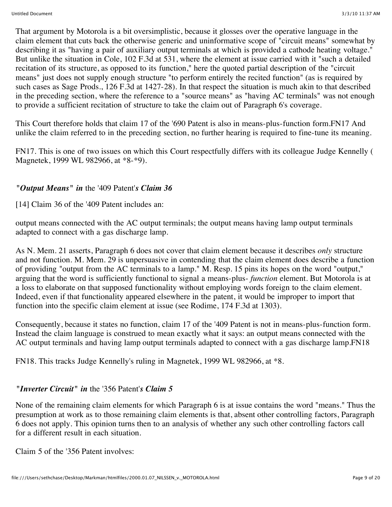That argument by Motorola is a bit oversimplistic, because it glosses over the operative language in the claim element that cuts back the otherwise generic and uninformative scope of "circuit means" somewhat by describing it as "having a pair of auxiliary output terminals at which is provided a cathode heating voltage." But unlike the situation in Cole, 102 F.3d at 531, where the element at issue carried with it "such a detailed recitation of its structure, as opposed to its function," here the quoted partial description of the "circuit means" just does not supply enough structure "to perform entirely the recited function" (as is required by such cases as Sage Prods., 126 F.3d at 1427-28). In that respect the situation is much akin to that described in the preceding section, where the reference to a "source means" as "having AC terminals" was not enough to provide a sufficient recitation of structure to take the claim out of Paragraph 6's coverage.

This Court therefore holds that claim 17 of the '690 Patent is also in means-plus-function form.FN17 And unlike the claim referred to in the preceding section, no further hearing is required to fine-tune its meaning.

FN17. This is one of two issues on which this Court respectfully differs with its colleague Judge Kennelly ( Magnetek, 1999 WL 982966, at \*8-\*9).

#### *"Output Means" in* the '409 Patent'*s Claim 36*

[14] Claim 36 of the '409 Patent includes an:

output means connected with the AC output terminals; the output means having lamp output terminals adapted to connect with a gas discharge lamp.

As N. Mem. 21 asserts, Paragraph 6 does not cover that claim element because it describes *only* structure and not function. M. Mem. 29 is unpersuasive in contending that the claim element does describe a function of providing "output from the AC terminals to a lamp." M. Resp. 15 pins its hopes on the word "output," arguing that the word is sufficiently functional to signal a means-plus- *function* element. But Motorola is at a loss to elaborate on that supposed functionality without employing words foreign to the claim element. Indeed, even if that functionality appeared elsewhere in the patent, it would be improper to import that function into the specific claim element at issue (see Rodime, 174 F.3d at 1303).

Consequently, because it states no function, claim 17 of the '409 Patent is not in means-plus-function form. Instead the claim language is construed to mean exactly what it says: an output means connected with the AC output terminals and having lamp output terminals adapted to connect with a gas discharge lamp.FN18

FN18. This tracks Judge Kennelly's ruling in Magnetek, 1999 WL 982966, at \*8.

# *"Inverter Circuit" in* the '356 Patent'*s Claim 5*

None of the remaining claim elements for which Paragraph 6 is at issue contains the word "means." Thus the presumption at work as to those remaining claim elements is that, absent other controlling factors, Paragraph 6 does not apply. This opinion turns then to an analysis of whether any such other controlling factors call for a different result in each situation.

Claim 5 of the '356 Patent involves: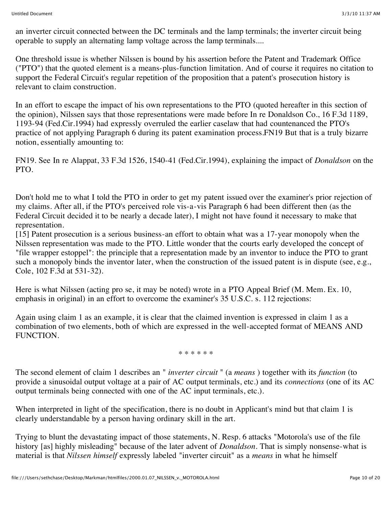an inverter circuit connected between the DC terminals and the lamp terminals; the inverter circuit being operable to supply an alternating lamp voltage across the lamp terminals....

One threshold issue is whether Nilssen is bound by his assertion before the Patent and Trademark Office ("PTO") that the quoted element is a means-plus-function limitation. And of course it requires no citation to support the Federal Circuit's regular repetition of the proposition that a patent's prosecution history is relevant to claim construction.

In an effort to escape the impact of his own representations to the PTO (quoted hereafter in this section of the opinion), Nilssen says that those representations were made before In re Donaldson Co., 16 F.3d 1189, 1193-94 (Fed.Cir.1994) had expressly overruled the earlier caselaw that had countenanced the PTO's practice of not applying Paragraph 6 during its patent examination process.FN19 But that is a truly bizarre notion, essentially amounting to:

FN19. See In re Alappat, 33 F.3d 1526, 1540-41 (Fed.Cir.1994), explaining the impact of *Donaldson* on the PTO.

Don't hold me to what I told the PTO in order to get my patent issued over the examiner's prior rejection of my claims. After all, if the PTO's perceived role vis-a-vis Paragraph 6 had been different then (as the Federal Circuit decided it to be nearly a decade later), I might not have found it necessary to make that representation.

[15] Patent prosecution is a serious business-an effort to obtain what was a 17-year monopoly when the Nilssen representation was made to the PTO. Little wonder that the courts early developed the concept of "file wrapper estoppel": the principle that a representation made by an inventor to induce the PTO to grant such a monopoly binds the inventor later, when the construction of the issued patent is in dispute (see, e.g., Cole, 102 F.3d at 531-32).

Here is what Nilssen (acting pro se, it may be noted) wrote in a PTO Appeal Brief (M. Mem. Ex. 10, emphasis in original) in an effort to overcome the examiner's 35 U.S.C. s. 112 rejections:

Again using claim 1 as an example, it is clear that the claimed invention is expressed in claim 1 as a combination of two elements, both of which are expressed in the well-accepted format of MEANS AND FUNCTION.

\* \* \* \* \* \*

The second element of claim 1 describes an " *inverter circuit* " (a *means* ) together with its *function* (to provide a sinusoidal output voltage at a pair of AC output terminals, etc.) and its *connections* (one of its AC output terminals being connected with one of the AC input terminals, etc.).

When interpreted in light of the specification, there is no doubt in Applicant's mind but that claim 1 is clearly understandable by a person having ordinary skill in the art.

Trying to blunt the devastating impact of those statements, N. Resp. 6 attacks "Motorola's use of the file history [as] highly misleading" because of the later advent of *Donaldson.* That is simply nonsense-what is material is that *Nilssen himself* expressly labeled "inverter circuit" as a *means* in what he himself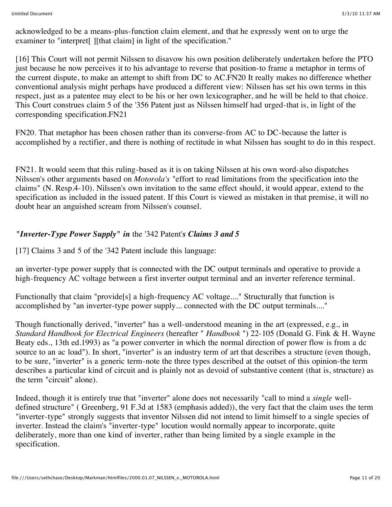acknowledged to be a means-plus-function claim element, and that he expressly went on to urge the examiner to "interpret<sup>[]</sup> [[that claim] in light of the specification."

[16] This Court will not permit Nilssen to disavow his own position deliberately undertaken before the PTO just because he now perceives it to his advantage to reverse that position-to frame a metaphor in terms of the current dispute, to make an attempt to shift from DC to AC.FN20 It really makes no difference whether conventional analysis might perhaps have produced a different view: Nilssen has set his own terms in this respect, just as a patentee may elect to be his or her own lexicographer, and he will be held to that choice. This Court construes claim 5 of the '356 Patent just as Nilssen himself had urged-that is, in light of the corresponding specification.FN21

FN20. That metaphor has been chosen rather than its converse-from AC to DC-because the latter is accomplished by a rectifier, and there is nothing of rectitude in what Nilssen has sought to do in this respect.

FN21. It would seem that this ruling-based as it is on taking Nilssen at his own word-also dispatches Nilssen's other arguments based on *Motorola's* "effort to read limitations from the specification into the claims" (N. Resp.4-10). Nilssen's own invitation to the same effect should, it would appear, extend to the specification as included in the issued patent. If this Court is viewed as mistaken in that premise, it will no doubt hear an anguished scream from Nilssen's counsel.

# *"Inverter-Type Power Supply" in* the '342 Patent'*s Claims 3 and 5*

[17] Claims 3 and 5 of the '342 Patent include this language:

an inverter-type power supply that is connected with the DC output terminals and operative to provide a high-frequency AC voltage between a first inverter output terminal and an inverter reference terminal.

Functionally that claim "provide[s] a high-frequency AC voltage...." Structurally that function is accomplished by "an inverter-type power supply... connected with the DC output terminals...."

Though functionally derived, "inverter" has a well-understood meaning in the art (expressed, e.g., in *Standard Handbook for Electrical Engineers* (hereafter " *Handbook* ") 22-105 (Donald G. Fink & H. Wayne Beaty eds., 13th ed.1993) as "a power converter in which the normal direction of power flow is from a dc source to an ac load"). In short, "inverter" is an industry term of art that describes a structure (even though, to be sure, "inverter" is a generic term-note the three types described at the outset of this opinion-the term describes a particular kind of circuit and is plainly not as devoid of substantive content (that is, structure) as the term "circuit" alone).

Indeed, though it is entirely true that "inverter" alone does not necessarily "call to mind a *single* welldefined structure" ( Greenberg, 91 F.3d at 1583 (emphasis added)), the very fact that the claim uses the term "inverter-type" strongly suggests that inventor Nilssen did not intend to limit himself to a single species of inverter. Instead the claim's "inverter-type" locution would normally appear to incorporate, quite deliberately, more than one kind of inverter, rather than being limited by a single example in the specification.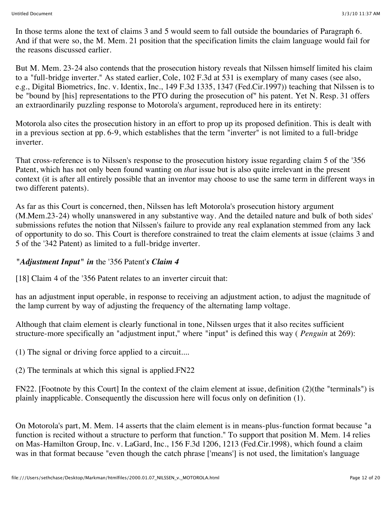In those terms alone the text of claims 3 and 5 would seem to fall outside the boundaries of Paragraph 6. And if that were so, the M. Mem. 21 position that the specification limits the claim language would fail for the reasons discussed earlier.

But M. Mem. 23-24 also contends that the prosecution history reveals that Nilssen himself limited his claim to a "full-bridge inverter." As stated earlier, Cole, 102 F.3d at 531 is exemplary of many cases (see also, e.g., Digital Biometrics, Inc. v. Identix, Inc., 149 F.3d 1335, 1347 (Fed.Cir.1997)) teaching that Nilssen is to be "bound by [his] representations to the PTO during the prosecution of" his patent. Yet N. Resp. 31 offers an extraordinarily puzzling response to Motorola's argument, reproduced here in its entirety:

Motorola also cites the prosecution history in an effort to prop up its proposed definition. This is dealt with in a previous section at pp. 6-9, which establishes that the term "inverter" is not limited to a full-bridge inverter.

That cross-reference is to Nilssen's response to the prosecution history issue regarding claim 5 of the '356 Patent, which has not only been found wanting on *that* issue but is also quite irrelevant in the present context (it is after all entirely possible that an inventor may choose to use the same term in different ways in two different patents).

As far as this Court is concerned, then, Nilssen has left Motorola's prosecution history argument (M.Mem.23-24) wholly unanswered in any substantive way. And the detailed nature and bulk of both sides' submissions refutes the notion that Nilssen's failure to provide any real explanation stemmed from any lack of opportunity to do so. This Court is therefore constrained to treat the claim elements at issue (claims 3 and 5 of the '342 Patent) as limited to a full-bridge inverter.

# *"Adjustment Input" in* the '356 Patent'*s Claim 4*

[18] Claim 4 of the '356 Patent relates to an inverter circuit that:

has an adjustment input operable, in response to receiving an adjustment action, to adjust the magnitude of the lamp current by way of adjusting the frequency of the alternating lamp voltage.

Although that claim element is clearly functional in tone, Nilssen urges that it also recites sufficient structure-more specifically an "adjustment input," where "input" is defined this way ( *Penguin* at 269):

(1) The signal or driving force applied to a circuit....

(2) The terminals at which this signal is applied.FN22

FN22. [Footnote by this Court] In the context of the claim element at issue, definition (2)(the "terminals") is plainly inapplicable. Consequently the discussion here will focus only on definition (1).

On Motorola's part, M. Mem. 14 asserts that the claim element is in means-plus-function format because "a function is recited without a structure to perform that function." To support that position M. Mem. 14 relies on Mas-Hamilton Group, Inc. v. LaGard, Inc., 156 F.3d 1206, 1213 (Fed.Cir.1998), which found a claim was in that format because "even though the catch phrase ['means'] is not used, the limitation's language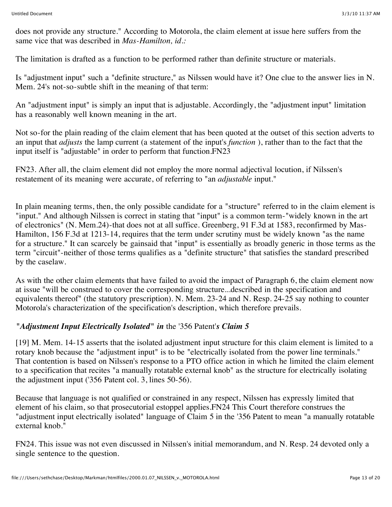does not provide any structure." According to Motorola, the claim element at issue here suffers from the same vice that was described in *Mas-Hamilton, id.:*

The limitation is drafted as a function to be performed rather than definite structure or materials.

Is "adjustment input" such a "definite structure," as Nilssen would have it? One clue to the answer lies in N. Mem. 24's not-so-subtle shift in the meaning of that term:

An "adjustment input" is simply an input that is adjustable. Accordingly, the "adjustment input" limitation has a reasonably well known meaning in the art.

Not so-for the plain reading of the claim element that has been quoted at the outset of this section adverts to an input that *adjusts* the lamp current (a statement of the input's *function* ), rather than to the fact that the input itself is "adjustable" in order to perform that function.FN23

FN23. After all, the claim element did not employ the more normal adjectival locution, if Nilssen's restatement of its meaning were accurate, of referring to "an *adjustable* input."

In plain meaning terms, then, the only possible candidate for a "structure" referred to in the claim element is "input." And although Nilssen is correct in stating that "input" is a common term-"widely known in the art of electronics" (N. Mem.24)-that does not at all suffice. Greenberg, 91 F.3d at 1583, reconfirmed by Mas-Hamilton, 156 F.3d at 1213-14, requires that the term under scrutiny must be widely known "as the name for a structure." It can scarcely be gainsaid that "input" is essentially as broadly generic in those terms as the term "circuit"-neither of those terms qualifies as a "definite structure" that satisfies the standard prescribed by the caselaw.

As with the other claim elements that have failed to avoid the impact of Paragraph 6, the claim element now at issue "will be construed to cover the corresponding structure...described in the specification and equivalents thereof" (the statutory prescription). N. Mem. 23-24 and N. Resp. 24-25 say nothing to counter Motorola's characterization of the specification's description, which therefore prevails.

# *"Adjustment Input Electrically Isolated" in* the '356 Patent'*s Claim 5*

[19] M. Mem. 14-15 asserts that the isolated adjustment input structure for this claim element is limited to a rotary knob because the "adjustment input" is to be "electrically isolated from the power line terminals." That contention is based on Nilssen's response to a PTO office action in which he limited the claim element to a specification that recites "a manually rotatable external knob" as the structure for electrically isolating the adjustment input ('356 Patent col. 3, lines 50-56).

Because that language is not qualified or constrained in any respect, Nilssen has expressly limited that element of his claim, so that prosecutorial estoppel applies.FN24 This Court therefore construes the "adjustment input electrically isolated" language of Claim 5 in the '356 Patent to mean "a manually rotatable external knob."

FN24. This issue was not even discussed in Nilssen's initial memorandum, and N. Resp. 24 devoted only a single sentence to the question.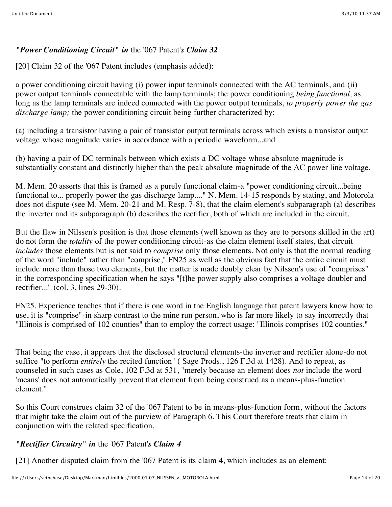# *"Power Conditioning Circuit" in* the '067 Patent'*s Claim 32*

[20] Claim 32 of the '067 Patent includes (emphasis added):

a power conditioning circuit having (i) power input terminals connected with the AC terminals, and (ii) power output terminals connectable with the lamp terminals; the power conditioning *being functional,* as long as the lamp terminals are indeed connected with the power output terminals, *to properly power the gas discharge lamp;* the power conditioning circuit being further characterized by:

(a) including a transistor having a pair of transistor output terminals across which exists a transistor output voltage whose magnitude varies in accordance with a periodic waveform...and

(b) having a pair of DC terminals between which exists a DC voltage whose absolute magnitude is substantially constant and distinctly higher than the peak absolute magnitude of the AC power line voltage.

M. Mem. 20 asserts that this is framed as a purely functional claim-a "power conditioning circuit...being functional to... properly power the gas discharge lamp...." N. Mem. 14-15 responds by stating, and Motorola does not dispute (see M. Mem. 20-21 and M. Resp. 7-8), that the claim element's subparagraph (a) describes the inverter and its subparagraph (b) describes the rectifier, both of which are included in the circuit.

But the flaw in Nilssen's position is that those elements (well known as they are to persons skilled in the art) do not form the *totality* of the power conditioning circuit-as the claim element itself states, that circuit *includes* those elements but is not said to *comprise* only those elements. Not only is that the normal reading of the word "include" rather than "comprise," FN25 as well as the obvious fact that the entire circuit must include more than those two elements, but the matter is made doubly clear by Nilssen's use of "comprises" in the corresponding specification when he says "[t]he power supply also comprises a voltage doubler and rectifier..." (col. 3, lines 29-30).

FN25. Experience teaches that if there is one word in the English language that patent lawyers know how to use, it is "comprise"-in sharp contrast to the mine run person, who is far more likely to say incorrectly that "Illinois is comprised of 102 counties" than to employ the correct usage: "Illinois comprises 102 counties."

That being the case, it appears that the disclosed structural elements-the inverter and rectifier alone-do not suffice "to perform *entirely* the recited function" ( Sage Prods., 126 F.3d at 1428). And to repeat, as counseled in such cases as Cole, 102 F.3d at 531, "merely because an element does *not* include the word 'means' does not automatically prevent that element from being construed as a means-plus-function element."

So this Court construes claim 32 of the '067 Patent to be in means-plus-function form, without the factors that might take the claim out of the purview of Paragraph 6. This Court therefore treats that claim in conjunction with the related specification.

# *"Rectifier Circuitry" in* the '067 Patent'*s Claim 4*

[21] Another disputed claim from the '067 Patent is its claim 4, which includes as an element: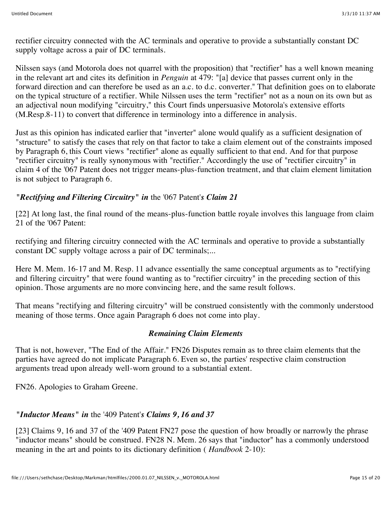rectifier circuitry connected with the AC terminals and operative to provide a substantially constant DC supply voltage across a pair of DC terminals.

Nilssen says (and Motorola does not quarrel with the proposition) that "rectifier" has a well known meaning in the relevant art and cites its definition in *Penguin* at 479: "[a] device that passes current only in the forward direction and can therefore be used as an a.c. to d.c. converter." That definition goes on to elaborate on the typical structure of a rectifier. While Nilssen uses the term "rectifier" not as a noun on its own but as an adjectival noun modifying "circuitry," this Court finds unpersuasive Motorola's extensive efforts (M.Resp.8-11) to convert that difference in terminology into a difference in analysis.

Just as this opinion has indicated earlier that "inverter" alone would qualify as a sufficient designation of "structure" to satisfy the cases that rely on that factor to take a claim element out of the constraints imposed by Paragraph 6, this Court views "rectifier" alone as equally sufficient to that end. And for that purpose "rectifier circuitry" is really synonymous with "rectifier." Accordingly the use of "rectifier circuitry" in claim 4 of the '067 Patent does not trigger means-plus-function treatment, and that claim element limitation is not subject to Paragraph 6.

# *"Rectifying and Filtering Circuitry" in* the '067 Patent'*s Claim 21*

[22] At long last, the final round of the means-plus-function battle royale involves this language from claim 21 of the '067 Patent:

rectifying and filtering circuitry connected with the AC terminals and operative to provide a substantially constant DC supply voltage across a pair of DC terminals;...

Here M. Mem. 16-17 and M. Resp. 11 advance essentially the same conceptual arguments as to "rectifying and filtering circuitry" that were found wanting as to "rectifier circuitry" in the preceding section of this opinion. Those arguments are no more convincing here, and the same result follows.

That means "rectifying and filtering circuitry" will be construed consistently with the commonly understood meaning of those terms. Once again Paragraph 6 does not come into play.

#### *Remaining Claim Elements*

That is not, however, "The End of the Affair." FN26 Disputes remain as to three claim elements that the parties have agreed do not implicate Paragraph 6. Even so, the parties' respective claim construction arguments tread upon already well-worn ground to a substantial extent.

FN26. Apologies to Graham Greene.

#### *"Inductor Means" in* the '409 Patent'*s Claims 9, 16 and 37*

[23] Claims 9, 16 and 37 of the '409 Patent FN27 pose the question of how broadly or narrowly the phrase "inductor means" should be construed. FN28 N. Mem. 26 says that "inductor" has a commonly understood meaning in the art and points to its dictionary definition ( *Handbook* 2-10):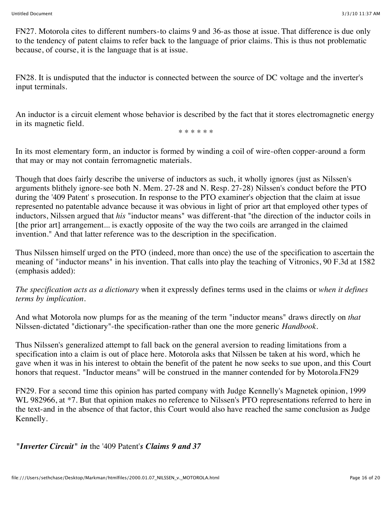FN27. Motorola cites to different numbers-to claims 9 and 36-as those at issue. That difference is due only to the tendency of patent claims to refer back to the language of prior claims. This is thus not problematic because, of course, it is the language that is at issue.

FN28. It is undisputed that the inductor is connected between the source of DC voltage and the inverter's input terminals.

An inductor is a circuit element whose behavior is described by the fact that it stores electromagnetic energy in its magnetic field.

\* \* \* \* \* \*

In its most elementary form, an inductor is formed by winding a coil of wire-often copper-around a form that may or may not contain ferromagnetic materials.

Though that does fairly describe the universe of inductors as such, it wholly ignores (just as Nilssen's arguments blithely ignore-see both N. Mem. 27-28 and N. Resp. 27-28) Nilssen's conduct before the PTO during the '409 Patent' s prosecution. In response to the PTO examiner's objection that the claim at issue represented no patentable advance because it was obvious in light of prior art that employed other types of inductors, Nilssen argued that *his* "inductor means" was different-that "the direction of the inductor coils in [the prior art] arrangement... is exactly opposite of the way the two coils are arranged in the claimed invention." And that latter reference was to the description in the specification.

Thus Nilssen himself urged on the PTO (indeed, more than once) the use of the specification to ascertain the meaning of "inductor means" in his invention. That calls into play the teaching of Vitronics, 90 F.3d at 1582 (emphasis added):

*The specification acts as a dictionary* when it expressly defines terms used in the claims or *when it defines terms by implication.*

And what Motorola now plumps for as the meaning of the term "inductor means" draws directly on *that* Nilssen-dictated "dictionary"-the specification-rather than one the more generic *Handbook.*

Thus Nilssen's generalized attempt to fall back on the general aversion to reading limitations from a specification into a claim is out of place here. Motorola asks that Nilssen be taken at his word, which he gave when it was in his interest to obtain the benefit of the patent he now seeks to sue upon, and this Court honors that request. "Inductor means" will be construed in the manner contended for by Motorola.FN29

FN29. For a second time this opinion has parted company with Judge Kennelly's Magnetek opinion, 1999 WL 982966, at \*7. But that opinion makes no reference to Nilssen's PTO representations referred to here in the text-and in the absence of that factor, this Court would also have reached the same conclusion as Judge Kennelly.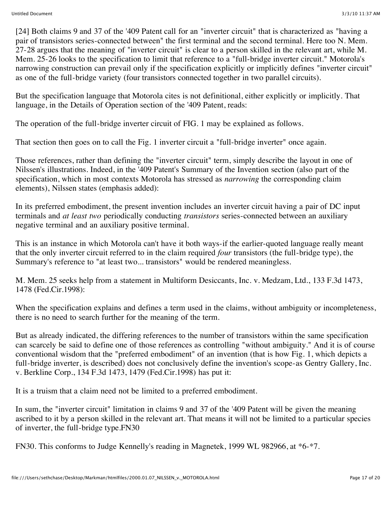[24] Both claims 9 and 37 of the '409 Patent call for an "inverter circuit" that is characterized as "having a pair of transistors series-connected between" the first terminal and the second terminal. Here too N. Mem. 27-28 argues that the meaning of "inverter circuit" is clear to a person skilled in the relevant art, while M. Mem. 25-26 looks to the specification to limit that reference to a "full-bridge inverter circuit." Motorola's narrowing construction can prevail only if the specification explicitly or implicitly defines "inverter circuit" as one of the full-bridge variety (four transistors connected together in two parallel circuits).

But the specification language that Motorola cites is not definitional, either explicitly or implicitly. That language, in the Details of Operation section of the '409 Patent, reads:

The operation of the full-bridge inverter circuit of FIG. 1 may be explained as follows.

That section then goes on to call the Fig. 1 inverter circuit a "full-bridge inverter" once again.

Those references, rather than defining the "inverter circuit" term, simply describe the layout in one of Nilssen's illustrations. Indeed, in the '409 Patent's Summary of the Invention section (also part of the specification, which in most contexts Motorola has stressed as *narrowing* the corresponding claim elements), Nilssen states (emphasis added):

In its preferred embodiment, the present invention includes an inverter circuit having a pair of DC input terminals and *at least two* periodically conducting *transistors* series-connected between an auxiliary negative terminal and an auxiliary positive terminal.

This is an instance in which Motorola can't have it both ways-if the earlier-quoted language really meant that the only inverter circuit referred to in the claim required *four* transistors (the full-bridge type), the Summary's reference to "at least two... transistors" would be rendered meaningless.

M. Mem. 25 seeks help from a statement in Multiform Desiccants, Inc. v. Medzam, Ltd., 133 F.3d 1473, 1478 (Fed.Cir.1998):

When the specification explains and defines a term used in the claims, without ambiguity or incompleteness, there is no need to search further for the meaning of the term.

But as already indicated, the differing references to the number of transistors within the same specification can scarcely be said to define one of those references as controlling "without ambiguity." And it is of course conventional wisdom that the "preferred embodiment" of an invention (that is how Fig. 1, which depicts a full-bridge inverter, is described) does not conclusively define the invention's scope-as Gentry Gallery, Inc. v. Berkline Corp., 134 F.3d 1473, 1479 (Fed.Cir.1998) has put it:

It is a truism that a claim need not be limited to a preferred embodiment.

In sum, the "inverter circuit" limitation in claims 9 and 37 of the '409 Patent will be given the meaning ascribed to it by a person skilled in the relevant art. That means it will not be limited to a particular species of inverter, the full-bridge type.FN30

FN30. This conforms to Judge Kennelly's reading in Magnetek, 1999 WL 982966, at \*6-\*7.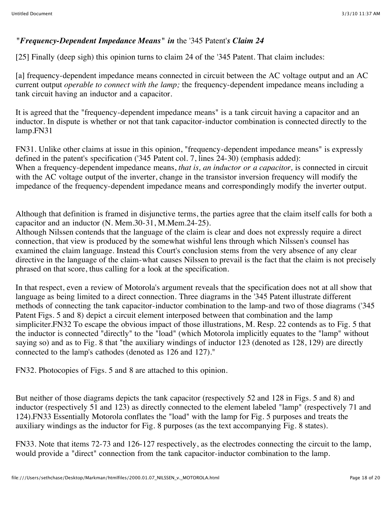# *"Frequency-Dependent Impedance Means" in* the '345 Patent'*s Claim 24*

[25] Finally (deep sigh) this opinion turns to claim 24 of the '345 Patent. That claim includes:

[a] frequency-dependent impedance means connected in circuit between the AC voltage output and an AC current output *operable to connect with the lamp;* the frequency-dependent impedance means including a tank circuit having an inductor and a capacitor.

It is agreed that the "frequency-dependent impedance means" is a tank circuit having a capacitor and an inductor. In dispute is whether or not that tank capacitor-inductor combination is connected directly to the lamp.FN31

FN31. Unlike other claims at issue in this opinion, "frequency-dependent impedance means" is expressly defined in the patent's specification ('345 Patent col. 7, lines 24-30) (emphasis added): When a frequency-dependent impedance means, *that is, an inductor or a capacitor,* is connected in circuit with the AC voltage output of the inverter, change in the transistor inversion frequency will modify the impedance of the frequency-dependent impedance means and correspondingly modify the inverter output.

Although that definition is framed in disjunctive terms, the parties agree that the claim itself calls for both a capacitor and an inductor (N. Mem.30-31, M.Mem.24-25).

Although Nilssen contends that the language of the claim is clear and does not expressly require a direct connection, that view is produced by the somewhat wishful lens through which Nilssen's counsel has examined the claim language. Instead this Court's conclusion stems from the very absence of any clear directive in the language of the claim-what causes Nilssen to prevail is the fact that the claim is not precisely phrased on that score, thus calling for a look at the specification.

In that respect, even a review of Motorola's argument reveals that the specification does not at all show that language as being limited to a direct connection. Three diagrams in the '345 Patent illustrate different methods of connecting the tank capacitor-inductor combination to the lamp-and two of those diagrams ('345 Patent Figs. 5 and 8) depict a circuit element interposed between that combination and the lamp simpliciter.FN32 To escape the obvious impact of those illustrations, M. Resp. 22 contends as to Fig. 5 that the inductor is connected "directly" to the "load" (which Motorola implicitly equates to the "lamp" without saying so) and as to Fig. 8 that "the auxiliary windings of inductor 123 (denoted as 128, 129) are directly connected to the lamp's cathodes (denoted as 126 and 127)."

FN32. Photocopies of Figs. 5 and 8 are attached to this opinion.

But neither of those diagrams depicts the tank capacitor (respectively 52 and 128 in Figs. 5 and 8) and inductor (respectively 51 and 123) as directly connected to the element labeled "lamp" (respectively 71 and 124).FN33 Essentially Motorola conflates the "load" with the lamp for Fig. 5 purposes and treats the auxiliary windings as the inductor for Fig. 8 purposes (as the text accompanying Fig. 8 states).

FN33. Note that items 72-73 and 126-127 respectively, as the electrodes connecting the circuit to the lamp, would provide a "direct" connection from the tank capacitor-inductor combination to the lamp.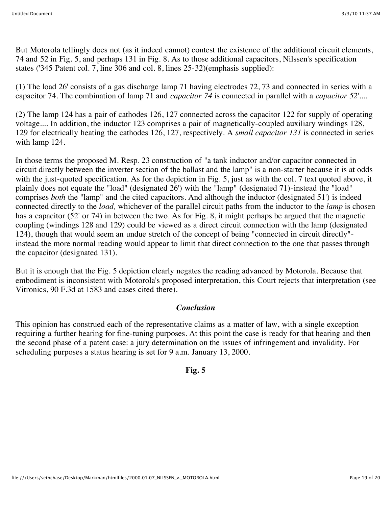But Motorola tellingly does not (as it indeed cannot) contest the existence of the additional circuit elements, 74 and 52 in Fig. 5, and perhaps 131 in Fig. 8. As to those additional capacitors, Nilssen's specification states ('345 Patent col. 7, line 306 and col. 8, lines 25-32)(emphasis supplied):

(1) The load 26' consists of a gas discharge lamp 71 having electrodes 72, 73 and connected in series with a capacitor 74. The combination of lamp 71 and *capacitor 74* is connected in parallel with a *capacitor 52*'*....*

(2) The lamp 124 has a pair of cathodes 126, 127 connected across the capacitor 122 for supply of operating voltage.... In addition, the inductor 123 comprises a pair of magnetically-coupled auxiliary windings 128, 129 for electrically heating the cathodes 126, 127, respectively. A *small capacitor 131* is connected in series with lamp 124.

In those terms the proposed M. Resp. 23 construction of "a tank inductor and/or capacitor connected in circuit directly between the inverter section of the ballast and the lamp" is a non-starter because it is at odds with the just-quoted specification. As for the depiction in Fig. 5, just as with the col. 7 text quoted above, it plainly does not equate the "load" (designated 26') with the "lamp" (designated 71)-instead the "load" comprises *both* the "lamp" and the cited capacitors. And although the inductor (designated 51') is indeed connected directly to the *load,* whichever of the parallel circuit paths from the inductor to the *lamp* is chosen has a capacitor (52' or 74) in between the two. As for Fig. 8, it might perhaps be argued that the magnetic coupling (windings 128 and 129) could be viewed as a direct circuit connection with the lamp (designated 124), though that would seem an undue stretch of the concept of being "connected in circuit directly" instead the more normal reading would appear to limit that direct connection to the one that passes through the capacitor (designated 131).

But it is enough that the Fig. 5 depiction clearly negates the reading advanced by Motorola. Because that embodiment is inconsistent with Motorola's proposed interpretation, this Court rejects that interpretation (see Vitronics, 90 F.3d at 1583 and cases cited there).

#### *Conclusion*

This opinion has construed each of the representative claims as a matter of law, with a single exception requiring a further hearing for fine-tuning purposes. At this point the case is ready for that hearing and then the second phase of a patent case: a jury determination on the issues of infringement and invalidity. For scheduling purposes a status hearing is set for 9 a.m. January 13, 2000.

#### **Fig. 5**